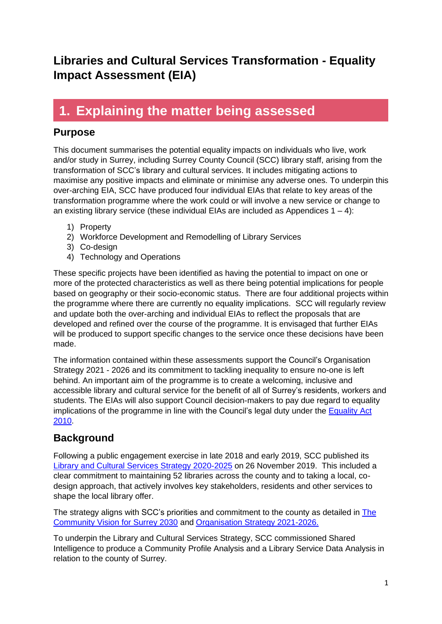#### **Libraries and Cultural Services Transformation - Equality Impact Assessment (EIA)**

### **1. Explaining the matter being assessed**

#### **Purpose**

This document summarises the potential equality impacts on individuals who live, work and/or study in Surrey, including Surrey County Council (SCC) library staff, arising from the transformation of SCC's library and cultural services. It includes mitigating actions to maximise any positive impacts and eliminate or minimise any adverse ones. To underpin this over-arching EIA, SCC have produced four individual EIAs that relate to key areas of the transformation programme where the work could or will involve a new service or change to an existing library service (these individual EIAs are included as Appendices  $1 - 4$ ):

- 1) Property
- 2) Workforce Development and Remodelling of Library Services
- 3) Co-design
- 4) Technology and Operations

These specific projects have been identified as having the potential to impact on one or more of the protected characteristics as well as there being potential implications for people based on geography or their socio-economic status. There are four additional projects within the programme where there are currently no equality implications. SCC will regularly review and update both the over-arching and individual EIAs to reflect the proposals that are developed and refined over the course of the programme. It is envisaged that further EIAs will be produced to support specific changes to the service once these decisions have been made.

The information contained within these assessments support the Council's Organisation Strategy 2021 - 2026 and its commitment to tackling inequality to ensure no-one is left behind. An important aim of the programme is to create a welcoming, inclusive and accessible library and cultural service for the benefit of all of Surrey's residents, workers and students. The EIAs will also support Council decision-makers to pay due regard to equality implications of the programme in line with the Council's legal duty under the [Equality Act](https://www.legislation.gov.uk/ukpga/2010/15/contents)  [2010.](https://www.legislation.gov.uk/ukpga/2010/15/contents)

#### **Background**

Following a public engagement exercise in late 2018 and early 2019, SCC published its [Library and Cultural Services Strategy 2020-2025](https://mycouncil.surreycc.gov.uk/documents/s64334/07%20-%20Annex%20A%20Library%20and%20Cultural%20Services%20Strategy%20v0.11%20-%20final.pdf) on 26 November 2019. This included a clear commitment to maintaining 52 libraries across the county and to taking a local, codesign approach, that actively involves key stakeholders, residents and other services to shape the local library offer.

The strategy aligns with SCC's priorities and commitment to the county as detailed in [The](https://www.surreycc.gov.uk/council-and-democracy/finance-and-performance/our-performance/our-organisation-strategy/community-vision-for-surrey-in-2030)  [Community Vision for Surrey 2030](https://www.surreycc.gov.uk/council-and-democracy/finance-and-performance/our-performance/our-organisation-strategy/community-vision-for-surrey-in-2030) and Organisation Strategy 2021-2026.

To underpin the Library and Cultural Services Strategy, SCC commissioned Shared Intelligence to produce a Community Profile Analysis and a Library Service Data Analysis in relation to the county of Surrey.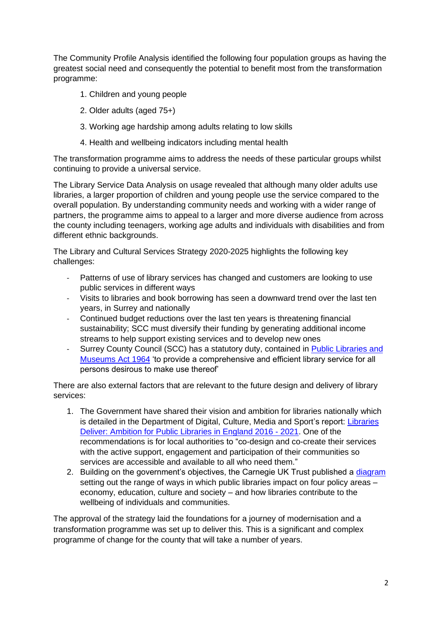The Community Profile Analysis identified the following four population groups as having the greatest social need and consequently the potential to benefit most from the transformation programme:

- 1. Children and young people
- 2. Older adults (aged 75+)
- 3. Working age hardship among adults relating to low skills
- 4. Health and wellbeing indicators including mental health

The transformation programme aims to address the needs of these particular groups whilst continuing to provide a universal service.

The Library Service Data Analysis on usage revealed that although many older adults use libraries, a larger proportion of children and young people use the service compared to the overall population. By understanding community needs and working with a wider range of partners, the programme aims to appeal to a larger and more diverse audience from across the county including teenagers, working age adults and individuals with disabilities and from different ethnic backgrounds.

The Library and Cultural Services Strategy 2020-2025 highlights the following key challenges:

- Patterns of use of library services has changed and customers are looking to use public services in different ways
- Visits to libraries and book borrowing has seen a downward trend over the last ten years, in Surrey and nationally
- Continued budget reductions over the last ten years is threatening financial sustainability; SCC must diversify their funding by generating additional income streams to help support existing services and to develop new ones
- Surrey County Council (SCC) has a statutory duty, contained in Public Libraries and [Museums Act 1964](https://www.legislation.gov.uk/ukpga/1964/75/pdfs/ukpga_19640075_en.pdf) 'to provide a comprehensive and efficient library service for all persons desirous to make use thereof'

There are also external factors that are relevant to the future design and delivery of library services:

- 1. The Government have shared their vision and ambition for libraries nationally which is detailed in the Department of Digital, Culture, Media and Sport's report: [Libraries](https://www.gov.uk/government/publications/libraries-deliver-ambition-for-public-libraries-in-england-2016-to-2021/libraries-deliver-ambition-for-public-libraries-in-england-2016-to-2021)  [Deliver: Ambition for Public Libraries in England 2016 -](https://www.gov.uk/government/publications/libraries-deliver-ambition-for-public-libraries-in-england-2016-to-2021/libraries-deliver-ambition-for-public-libraries-in-england-2016-to-2021) 2021. One of the recommendations is for local authorities to "co-design and co-create their services with the active support, engagement and participation of their communities so services are accessible and available to all who need them."
- 2. Building on the government's objectives, the Carnegie UK Trust published a [diagram](https://www.carnegieuktrust.org.uk/publications/speaking-volumes-leaflet-to-view/) setting out the range of ways in which public libraries impact on four policy areas – economy, education, culture and society – and how libraries contribute to the wellbeing of individuals and communities.

The approval of the strategy laid the foundations for a journey of modernisation and a transformation programme was set up to deliver this. This is a significant and complex programme of change for the county that will take a number of years.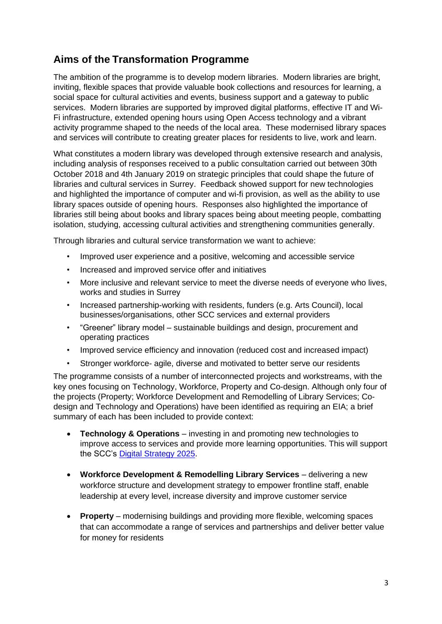#### **Aims of the Transformation Programme**

The ambition of the programme is to develop modern libraries. Modern libraries are bright, inviting, flexible spaces that provide valuable book collections and resources for learning, a social space for cultural activities and events, business support and a gateway to public services. Modern libraries are supported by improved digital platforms, effective IT and Wi-Fi infrastructure, extended opening hours using Open Access technology and a vibrant activity programme shaped to the needs of the local area. These modernised library spaces and services will contribute to creating greater places for residents to live, work and learn.

What constitutes a modern library was developed through extensive research and analysis, including analysis of responses received to a public consultation carried out between 30th October 2018 and 4th January 2019 on strategic principles that could shape the future of libraries and cultural services in Surrey. Feedback showed support for new technologies and highlighted the importance of computer and wi-fi provision, as well as the ability to use library spaces outside of opening hours. Responses also highlighted the importance of libraries still being about books and library spaces being about meeting people, combatting isolation, studying, accessing cultural activities and strengthening communities generally.

Through libraries and cultural service transformation we want to achieve:

- Improved user experience and a positive, welcoming and accessible service
- Increased and improved service offer and initiatives
- More inclusive and relevant service to meet the diverse needs of everyone who lives, works and studies in Surrey
- Increased partnership-working with residents, funders (e.g. Arts Council), local businesses/organisations, other SCC services and external providers
- "Greener" library model sustainable buildings and design, procurement and operating practices
- Improved service efficiency and innovation (reduced cost and increased impact)
- Stronger workforce- agile, diverse and motivated to better serve our residents

The programme consists of a number of interconnected projects and workstreams, with the key ones focusing on Technology, Workforce, Property and Co-design. Although only four of the projects (Property; Workforce Development and Remodelling of Library Services; Codesign and Technology and Operations) have been identified as requiring an EIA; a brief summary of each has been included to provide context:

- **Technology & Operations** investing in and promoting new technologies to improve access to services and provide more learning opportunities. This will support the SCC's [Digital Strategy 2025.](https://mycouncil.surreycc.gov.uk/mgConvert2PDF.aspx?ID=67025)
- **Workforce Development & Remodelling Library Services** delivering a new workforce structure and development strategy to empower frontline staff, enable leadership at every level, increase diversity and improve customer service
- **Property**  modernising buildings and providing more flexible, welcoming spaces that can accommodate a range of services and partnerships and deliver better value for money for residents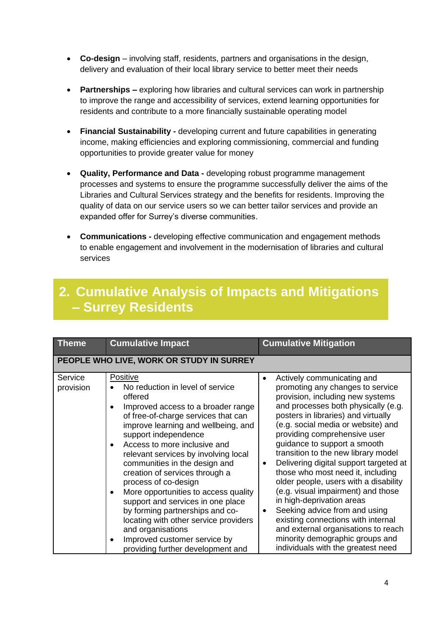- **Co-design** involving staff, residents, partners and organisations in the design, delivery and evaluation of their local library service to better meet their needs
- **Partnerships –** exploring how libraries and cultural services can work in partnership to improve the range and accessibility of services, extend learning opportunities for residents and contribute to a more financially sustainable operating model
- **Financial Sustainability -** developing current and future capabilities in generating income, making efficiencies and exploring commissioning, commercial and funding opportunities to provide greater value for money
- **Quality, Performance and Data -** developing robust programme management processes and systems to ensure the programme successfully deliver the aims of the Libraries and Cultural Services strategy and the benefits for residents. Improving the quality of data on our service users so we can better tailor services and provide an expanded offer for Surrey's diverse communities.
- **Communications -** developing effective communication and engagement methods to enable engagement and involvement in the modernisation of libraries and cultural services

#### **2. Cumulative Analysis of Impacts and Mitigations – Surrey Residents**

| <b>Theme</b>         | <b>Cumulative Impact</b>                                                                                                                                                                                                                                                                                                                                                                                                                                                                                                                                                                                                                                         | <b>Cumulative Mitigation</b>                                                                                                                                                                                                                                                                                                                                                                                                                                                                                                                                                                                                                                                                                              |
|----------------------|------------------------------------------------------------------------------------------------------------------------------------------------------------------------------------------------------------------------------------------------------------------------------------------------------------------------------------------------------------------------------------------------------------------------------------------------------------------------------------------------------------------------------------------------------------------------------------------------------------------------------------------------------------------|---------------------------------------------------------------------------------------------------------------------------------------------------------------------------------------------------------------------------------------------------------------------------------------------------------------------------------------------------------------------------------------------------------------------------------------------------------------------------------------------------------------------------------------------------------------------------------------------------------------------------------------------------------------------------------------------------------------------------|
|                      | PEOPLE WHO LIVE, WORK OR STUDY IN SURREY                                                                                                                                                                                                                                                                                                                                                                                                                                                                                                                                                                                                                         |                                                                                                                                                                                                                                                                                                                                                                                                                                                                                                                                                                                                                                                                                                                           |
| Service<br>provision | Positive<br>No reduction in level of service<br>offered<br>Improved access to a broader range<br>$\bullet$<br>of free-of-charge services that can<br>improve learning and wellbeing, and<br>support independence<br>Access to more inclusive and<br>relevant services by involving local<br>communities in the design and<br>creation of services through a<br>process of co-design<br>More opportunities to access quality<br>$\bullet$<br>support and services in one place<br>by forming partnerships and co-<br>locating with other service providers<br>and organisations<br>Improved customer service by<br>$\bullet$<br>providing further development and | Actively communicating and<br>promoting any changes to service<br>provision, including new systems<br>and processes both physically (e.g.<br>posters in libraries) and virtually<br>(e.g. social media or website) and<br>providing comprehensive user<br>guidance to support a smooth<br>transition to the new library model<br>Delivering digital support targeted at<br>٠<br>those who most need it, including<br>older people, users with a disability<br>(e.g. visual impairment) and those<br>in high-deprivation areas<br>Seeking advice from and using<br>٠<br>existing connections with internal<br>and external organisations to reach<br>minority demographic groups and<br>individuals with the greatest need |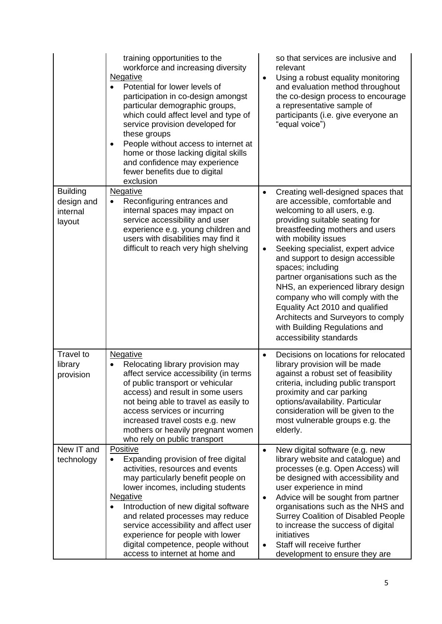|                                                     | training opportunities to the<br>workforce and increasing diversity<br>Negative<br>Potential for lower levels of<br>participation in co-design amongst<br>particular demographic groups,<br>which could affect level and type of<br>service provision developed for<br>these groups<br>People without access to internet at<br>$\bullet$<br>home or those lacking digital skills<br>and confidence may experience<br>fewer benefits due to digital<br>exclusion | ٠                                   | so that services are inclusive and<br>relevant<br>Using a robust equality monitoring<br>and evaluation method throughout<br>the co-design process to encourage<br>a representative sample of<br>participants (i.e. give everyone an<br>"equal voice")                                                                                                                                                                                                                                                                                                |
|-----------------------------------------------------|-----------------------------------------------------------------------------------------------------------------------------------------------------------------------------------------------------------------------------------------------------------------------------------------------------------------------------------------------------------------------------------------------------------------------------------------------------------------|-------------------------------------|------------------------------------------------------------------------------------------------------------------------------------------------------------------------------------------------------------------------------------------------------------------------------------------------------------------------------------------------------------------------------------------------------------------------------------------------------------------------------------------------------------------------------------------------------|
| <b>Building</b><br>design and<br>internal<br>layout | <b>Negative</b><br>Reconfiguring entrances and<br>internal spaces may impact on<br>service accessibility and user<br>experience e.g. young children and<br>users with disabilities may find it<br>difficult to reach very high shelving                                                                                                                                                                                                                         | $\bullet$                           | Creating well-designed spaces that<br>are accessible, comfortable and<br>welcoming to all users, e.g.<br>providing suitable seating for<br>breastfeeding mothers and users<br>with mobility issues<br>Seeking specialist, expert advice<br>and support to design accessible<br>spaces; including<br>partner organisations such as the<br>NHS, an experienced library design<br>company who will comply with the<br>Equality Act 2010 and qualified<br>Architects and Surveyors to comply<br>with Building Regulations and<br>accessibility standards |
| Travel to<br>library<br>provision                   | <b>Negative</b><br>Relocating library provision may<br>affect service accessibility (in terms<br>of public transport or vehicular<br>access) and result in some users<br>not being able to travel as easily to<br>access services or incurring<br>increased travel costs e.g. new<br>mothers or heavily pregnant women<br>who rely on public transport                                                                                                          | $\bullet$                           | Decisions on locations for relocated<br>library provision will be made<br>against a robust set of feasibility<br>criteria, including public transport<br>proximity and car parking<br>options/availability. Particular<br>consideration will be given to the<br>most vulnerable groups e.g. the<br>elderly.                                                                                                                                                                                                                                          |
| New IT and<br>technology                            | Positive<br>Expanding provision of free digital<br>$\bullet$<br>activities, resources and events<br>may particularly benefit people on<br>lower incomes, including students<br><b>Negative</b><br>Introduction of new digital software<br>and related processes may reduce<br>service accessibility and affect user<br>experience for people with lower<br>digital competence, people without<br>access to internet at home and                                 | $\bullet$<br>$\bullet$<br>$\bullet$ | New digital software (e.g. new<br>library website and catalogue) and<br>processes (e.g. Open Access) will<br>be designed with accessibility and<br>user experience in mind<br>Advice will be sought from partner<br>organisations such as the NHS and<br><b>Surrey Coalition of Disabled People</b><br>to increase the success of digital<br>initiatives<br>Staff will receive further<br>development to ensure they are                                                                                                                             |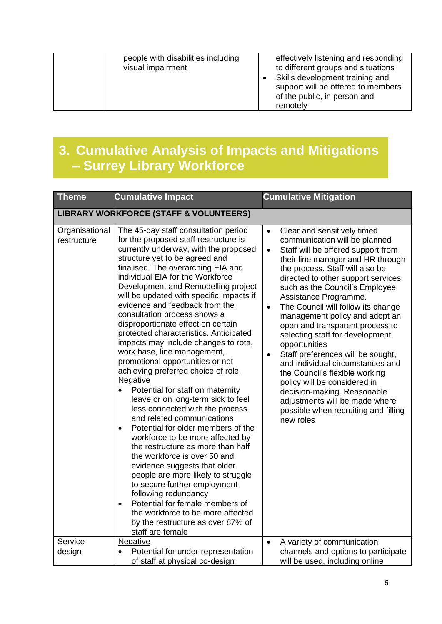effectively listening and responding to different groups and situations

• Skills development training and support will be offered to members of the public, in person and remotely

## **3. Cumulative Analysis of Impacts and Mitigations – Surrey Library Workforce**

| <b>Theme</b>                                      | <b>Cumulative Impact</b>                                                                                                                                                                                                                                                                                                                                                                                                                                                                                                                                                                                                                                                                                                                                                                                                                                                                                                                                                                                                                                                                                                                                                                                                        | <b>Cumulative Mitigation</b>                                                                                                                                                                                                                                                                                                                                                                                                                                                                                                                                                                                                                                                                                                                                    |  |  |  |
|---------------------------------------------------|---------------------------------------------------------------------------------------------------------------------------------------------------------------------------------------------------------------------------------------------------------------------------------------------------------------------------------------------------------------------------------------------------------------------------------------------------------------------------------------------------------------------------------------------------------------------------------------------------------------------------------------------------------------------------------------------------------------------------------------------------------------------------------------------------------------------------------------------------------------------------------------------------------------------------------------------------------------------------------------------------------------------------------------------------------------------------------------------------------------------------------------------------------------------------------------------------------------------------------|-----------------------------------------------------------------------------------------------------------------------------------------------------------------------------------------------------------------------------------------------------------------------------------------------------------------------------------------------------------------------------------------------------------------------------------------------------------------------------------------------------------------------------------------------------------------------------------------------------------------------------------------------------------------------------------------------------------------------------------------------------------------|--|--|--|
| <b>LIBRARY WORKFORCE (STAFF &amp; VOLUNTEERS)</b> |                                                                                                                                                                                                                                                                                                                                                                                                                                                                                                                                                                                                                                                                                                                                                                                                                                                                                                                                                                                                                                                                                                                                                                                                                                 |                                                                                                                                                                                                                                                                                                                                                                                                                                                                                                                                                                                                                                                                                                                                                                 |  |  |  |
| Organisational<br>restructure                     | The 45-day staff consultation period<br>for the proposed staff restructure is<br>currently underway, with the proposed<br>structure yet to be agreed and<br>finalised. The overarching EIA and<br>individual EIA for the Workforce<br>Development and Remodelling project<br>will be updated with specific impacts if<br>evidence and feedback from the<br>consultation process shows a<br>disproportionate effect on certain<br>protected characteristics. Anticipated<br>impacts may include changes to rota,<br>work base, line management,<br>promotional opportunities or not<br>achieving preferred choice of role.<br><b>Negative</b><br>Potential for staff on maternity<br>leave or on long-term sick to feel<br>less connected with the process<br>and related communications<br>Potential for older members of the<br>$\bullet$<br>workforce to be more affected by<br>the restructure as more than half<br>the workforce is over 50 and<br>evidence suggests that older<br>people are more likely to struggle<br>to secure further employment<br>following redundancy<br>Potential for female members of<br>$\bullet$<br>the workforce to be more affected<br>by the restructure as over 87% of<br>staff are female | Clear and sensitively timed<br>$\bullet$<br>communication will be planned<br>Staff will be offered support from<br>$\bullet$<br>their line manager and HR through<br>the process. Staff will also be<br>directed to other support services<br>such as the Council's Employee<br>Assistance Programme.<br>The Council will follow its change<br>$\bullet$<br>management policy and adopt an<br>open and transparent process to<br>selecting staff for development<br>opportunities<br>Staff preferences will be sought,<br>$\bullet$<br>and individual circumstances and<br>the Council's flexible working<br>policy will be considered in<br>decision-making. Reasonable<br>adjustments will be made where<br>possible when recruiting and filling<br>new roles |  |  |  |
| Service<br>design                                 | <b>Negative</b><br>Potential for under-representation<br>of staff at physical co-design                                                                                                                                                                                                                                                                                                                                                                                                                                                                                                                                                                                                                                                                                                                                                                                                                                                                                                                                                                                                                                                                                                                                         | A variety of communication<br>$\bullet$<br>channels and options to participate<br>will be used, including online                                                                                                                                                                                                                                                                                                                                                                                                                                                                                                                                                                                                                                                |  |  |  |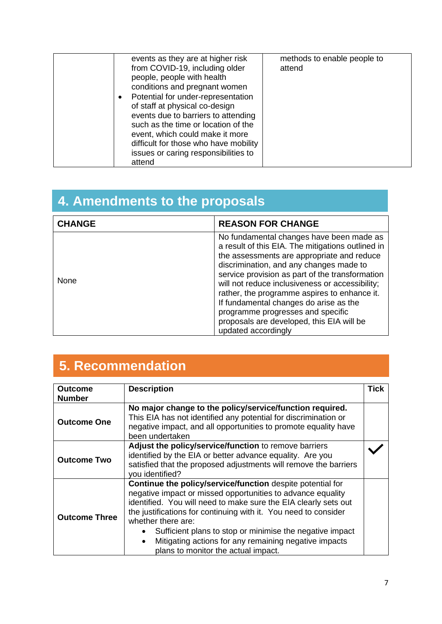# **4. Amendments to the proposals**

| <b>CHANGE</b><br><b>REASON FOR CHANGE</b> |                                                                                                                                                                                                                                                                                                                                                                                                                                                                                                 |
|-------------------------------------------|-------------------------------------------------------------------------------------------------------------------------------------------------------------------------------------------------------------------------------------------------------------------------------------------------------------------------------------------------------------------------------------------------------------------------------------------------------------------------------------------------|
| <b>None</b>                               | No fundamental changes have been made as<br>a result of this EIA. The mitigations outlined in<br>the assessments are appropriate and reduce<br>discrimination, and any changes made to<br>service provision as part of the transformation<br>will not reduce inclusiveness or accessibility;<br>rather, the programme aspires to enhance it.<br>If fundamental changes do arise as the<br>programme progresses and specific<br>proposals are developed, this EIA will be<br>updated accordingly |

# **5. Recommendation**

| <b>Outcome</b><br><b>Number</b> | <b>Description</b>                                                                                                                                                                                                                                                                                                                                                                                                                                             | <b>Tick</b> |  |
|---------------------------------|----------------------------------------------------------------------------------------------------------------------------------------------------------------------------------------------------------------------------------------------------------------------------------------------------------------------------------------------------------------------------------------------------------------------------------------------------------------|-------------|--|
| <b>Outcome One</b>              | No major change to the policy/service/function required.<br>This EIA has not identified any potential for discrimination or<br>negative impact, and all opportunities to promote equality have<br>been undertaken                                                                                                                                                                                                                                              |             |  |
| <b>Outcome Two</b>              | Adjust the policy/service/function to remove barriers<br>identified by the EIA or better advance equality. Are you<br>satisfied that the proposed adjustments will remove the barriers<br>you identified?                                                                                                                                                                                                                                                      |             |  |
| <b>Outcome Three</b>            | Continue the policy/service/function despite potential for<br>negative impact or missed opportunities to advance equality<br>identified. You will need to make sure the EIA clearly sets out<br>the justifications for continuing with it. You need to consider<br>whether there are:<br>Sufficient plans to stop or minimise the negative impact<br>Mitigating actions for any remaining negative impacts<br>$\bullet$<br>plans to monitor the actual impact. |             |  |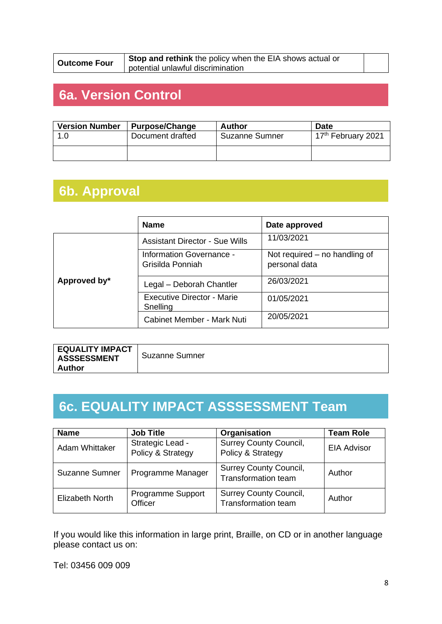**Outcome Four** Stop and rethink the policy when the EIA shows actual or potential unlawful discrimination

### **6a. Version Control**

| <b>Version Number</b> | <b>Purpose/Change</b> | <b>Author</b>         | <b>Date</b>                    |
|-----------------------|-----------------------|-----------------------|--------------------------------|
| 1.0                   | Document drafted      | <b>Suzanne Sumner</b> | 17 <sup>th</sup> February 2021 |
|                       |                       |                       |                                |

### **6b. Approval**

|              | <b>Name</b>                                  | Date approved                                  |
|--------------|----------------------------------------------|------------------------------------------------|
|              | <b>Assistant Director - Sue Wills</b>        | 11/03/2021                                     |
|              | Information Governance -<br>Grisilda Ponniah | Not required – no handling of<br>personal data |
| Approved by* | Legal - Deborah Chantler                     | 26/03/2021                                     |
|              | Executive Director - Marie<br>Snelling       | 01/05/2021                                     |
|              | Cabinet Member - Mark Nuti                   | 20/05/2021                                     |

| <b>EQUALITY IMPACT</b><br><b>ASSSESSMENT</b> | Suzanne Sumner |
|----------------------------------------------|----------------|
| ∣ Author                                     |                |

## **6c. EQUALITY IMPACT ASSSESSMENT Team**

| <b>Name</b>            | <b>Job Title</b>                      | Organisation                                                | <b>Team Role</b>   |
|------------------------|---------------------------------------|-------------------------------------------------------------|--------------------|
| Adam Whittaker         | Strategic Lead -<br>Policy & Strategy | <b>Surrey County Council,</b><br>Policy & Strategy          | <b>EIA Advisor</b> |
| <b>Suzanne Sumner</b>  | Programme Manager                     | <b>Surrey County Council,</b><br><b>Transformation team</b> | Author             |
| <b>Elizabeth North</b> | Programme Support<br>Officer          | <b>Surrey County Council,</b><br><b>Transformation team</b> | Author             |

If you would like this information in large print, Braille, on CD or in another language please contact us on:

Tel: 03456 009 009